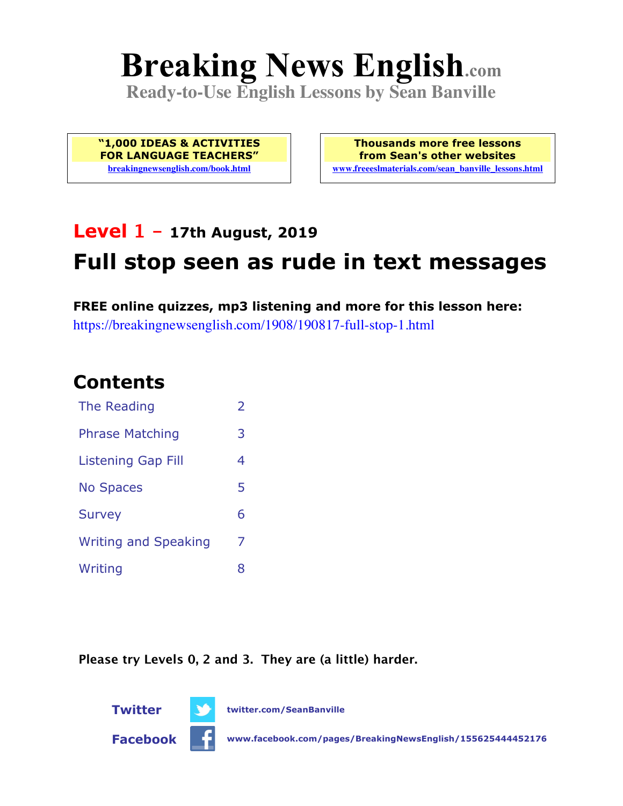# **Breaking News English.com**

**Ready-to-Use English Lessons by Sean Banville**

**"1,000 IDEAS & ACTIVITIES FOR LANGUAGE TEACHERS" breakingnewsenglish.com/book.html**

**Thousands more free lessons from Sean's other websites www.freeeslmaterials.com/sean\_banville\_lessons.html**

# **Level 1 - 17th August, 2019 Full stop seen as rude in text messages**

**FREE online quizzes, mp3 listening and more for this lesson here:** https://breakingnewsenglish.com/1908/190817-full-stop-1.html

### **Contents**

| The Reading                 | $\overline{2}$ |
|-----------------------------|----------------|
| <b>Phrase Matching</b>      | 3              |
| <b>Listening Gap Fill</b>   | 4              |
| <b>No Spaces</b>            | 5              |
| <b>Survey</b>               | 6              |
| <b>Writing and Speaking</b> | 7              |
| Writing                     | 8              |
|                             |                |

**Please try Levels 0, 2 and 3. They are (a little) harder.**



**Twitter twitter.com/SeanBanville**

**Facebook www.facebook.com/pages/BreakingNewsEnglish/155625444452176**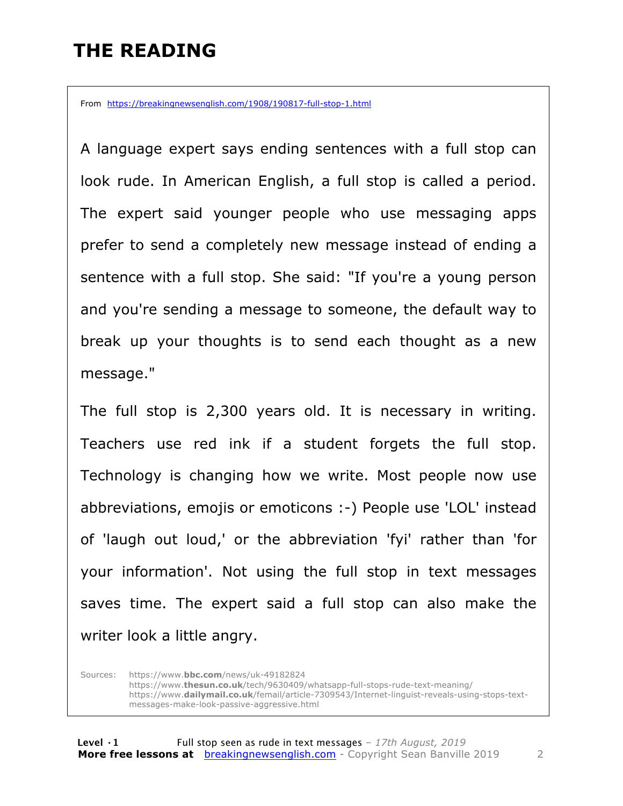#### **THE READING**

From https://breakingnewsenglish.com/1908/190817-full-stop-1.html

A language expert says ending sentences with a full stop can look rude. In American English, a full stop is called a period. The expert said younger people who use messaging apps prefer to send a completely new message instead of ending a sentence with a full stop. She said: "If you're a young person and you're sending a message to someone, the default way to break up your thoughts is to send each thought as a new message."

The full stop is 2,300 years old. It is necessary in writing. Teachers use red ink if a student forgets the full stop. Technology is changing how we write. Most people now use abbreviations, emojis or emoticons :-) People use 'LOL' instead of 'laugh out loud,' or the abbreviation 'fyi' rather than 'for your information'. Not using the full stop in text messages saves time. The expert said a full stop can also make the writer look a little angry.

Sources: https://www.**bbc.com**/news/uk-49182824 https://www.**thesun.co.uk**/tech/9630409/whatsapp-full-stops-rude-text-meaning/ https://www.**dailymail.co.uk**/femail/article-7309543/Internet-linguist-reveals-using-stops-textmessages-make-look-passive-aggressive.html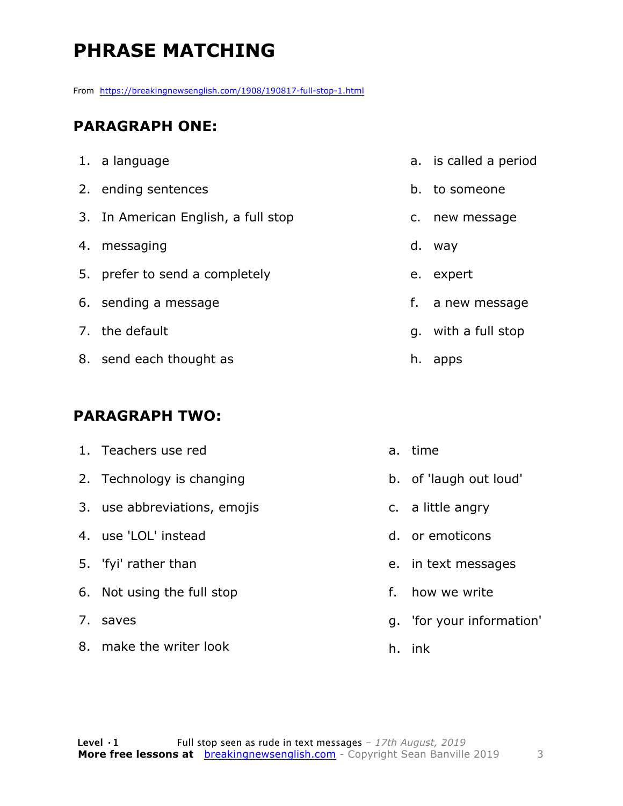## **PHRASE MATCHING**

From https://breakingnewsenglish.com/1908/190817-full-stop-1.html

#### **PARAGRAPH ONE:**

| 1. a language                       |    | a. is called a period |
|-------------------------------------|----|-----------------------|
| 2. ending sentences                 |    | b. to someone         |
| 3. In American English, a full stop |    | c. new message        |
| 4. messaging                        |    | d. way                |
| 5. prefer to send a completely      |    | e. expert             |
| 6. sending a message                |    | f. a new message      |
| 7. the default                      |    | q. with a full stop   |
| 8. send each thought as             | h. | apps                  |

#### **PARAGRAPH TWO:**

8. make the writer look

|            | 1. Teachers use red          |    | a. time                   |
|------------|------------------------------|----|---------------------------|
|            | 2. Technology is changing    |    | b. of laugh out loud'     |
|            | 3. use abbreviations, emojis |    | c. a little angry         |
|            | 4. use 'LOL' instead         |    | d. or emoticons           |
|            | 5. 'fyi' rather than         |    | e. in text messages       |
|            | 6. Not using the full stop   | f. | how we write              |
| $\prime$ . | saves                        |    | g. 'for your information' |
|            |                              |    |                           |

h. ink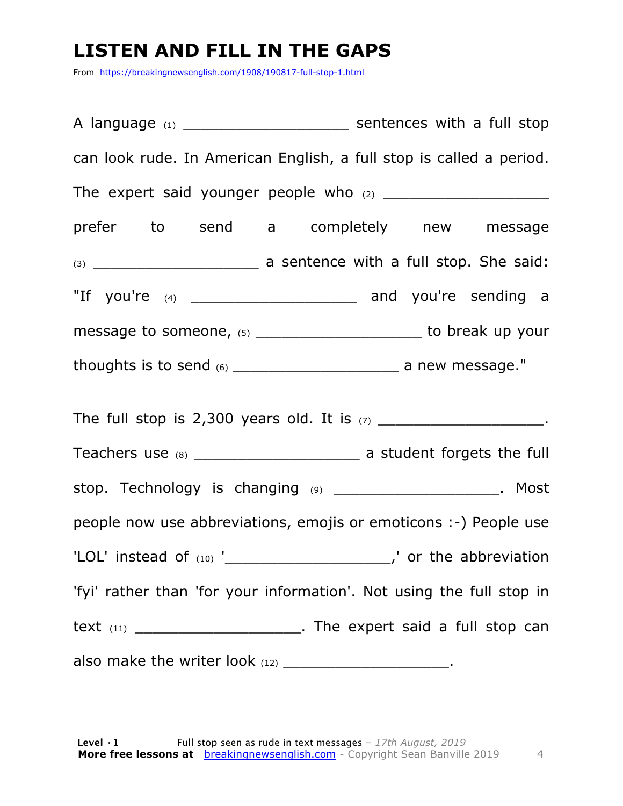#### **LISTEN AND FILL IN THE GAPS**

From https://breakingnewsenglish.com/1908/190817-full-stop-1.html

A language (1)  $\blacksquare$  Sentences with a full stop can look rude. In American English, a full stop is called a period. The expert said younger people who (2) \_\_\_\_\_\_\_\_\_\_\_\_\_\_\_\_\_\_\_ prefer to send a completely new message (3) \_\_\_\_\_\_\_\_\_\_\_\_\_\_\_\_\_\_\_ a sentence with a full stop. She said: "If you're (4) \_\_\_\_\_\_\_\_\_\_\_\_\_\_\_\_\_\_\_ and you're sending a message to someone, (5) The same of the someone of the source of the source of the source of the source of the source of the source of the source of the source of the source of the source of the source of the source of the thoughts is to send (6) \_\_\_\_\_\_\_\_\_\_\_\_\_\_\_\_\_\_\_ a new message." The full stop is 2,300 years old. It is  $(7)$  \_\_\_\_\_\_\_\_\_\_\_\_\_\_\_\_\_\_\_\_\_. Teachers use (8) Teachers use (8) stop. Technology is changing (9) \_\_\_\_\_\_\_\_\_\_\_\_\_\_\_\_\_\_\_\_\_\_. Most people now use abbreviations, emojis or emoticons :-) People use 'LOL' instead of  $(10)$  '\_\_\_\_\_\_\_\_\_\_\_\_\_\_\_\_\_\_\_\_\_\_\_\_\_,' or the abbreviation 'fyi' rather than 'for your information'. Not using the full stop in text (11) text (11) also make the writer look  $(12)$  \_\_\_\_\_\_\_\_\_\_\_\_\_\_\_\_\_\_\_\_\_\_.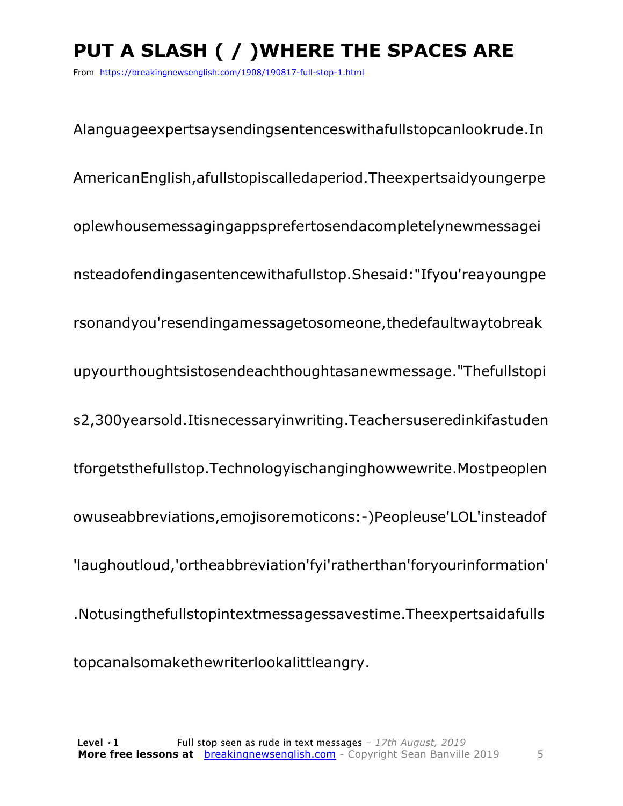## **PUT A SLASH ( / )WHERE THE SPACES ARE**

From https://breakingnewsenglish.com/1908/190817-full-stop-1.html

Alanguageexpertsaysendingsentenceswithafullstopcanlookrude.In AmericanEnglish,afullstopiscalledaperiod.Theexpertsaidyoungerpe oplewhousemessagingappsprefertosendacompletelynewmessagei nsteadofendingasentencewithafullstop.Shesaid:"Ifyou'reayoungpe rsonandyou'resendingamessagetosomeone,thedefaultwaytobreak upyourthoughtsistosendeachthoughtasanewmessage."Thefullstopi s2,300yearsold.Itisnecessaryinwriting.Teachersuseredinkifastuden tforgetsthefullstop.Technologyischanginghowwewrite.Mostpeoplen owuseabbreviations,emojisoremoticons:-)Peopleuse'LOL'insteadof 'laughoutloud,'ortheabbreviation'fyi'ratherthan'foryourinformation' .Notusingthefullstopintextmessagessavestime.Theexpertsaidafulls topcanalsomakethewriterlookalittleangry.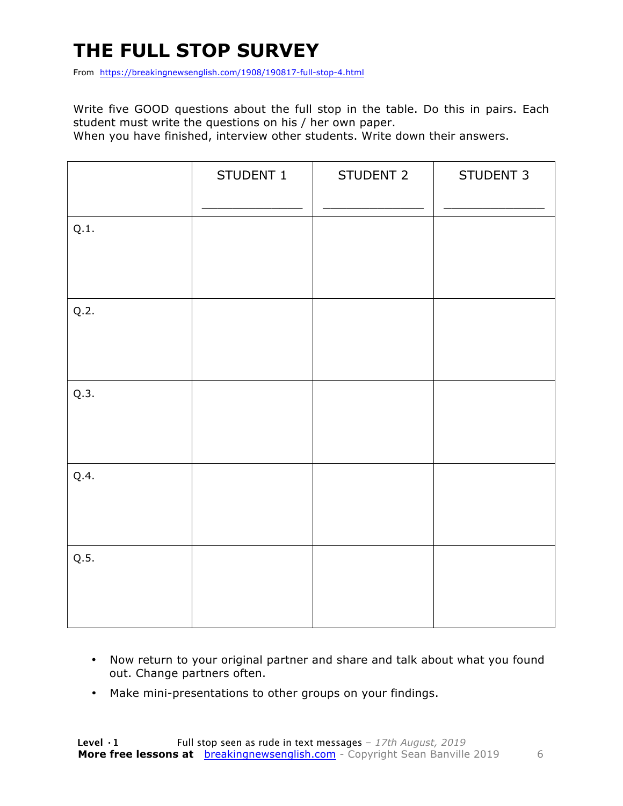## **THE FULL STOP SURVEY**

From https://breakingnewsenglish.com/1908/190817-full-stop-4.html

Write five GOOD questions about the full stop in the table. Do this in pairs. Each student must write the questions on his / her own paper.

When you have finished, interview other students. Write down their answers.

|      | STUDENT 1 | STUDENT 2 | STUDENT 3 |
|------|-----------|-----------|-----------|
| Q.1. |           |           |           |
| Q.2. |           |           |           |
| Q.3. |           |           |           |
| Q.4. |           |           |           |
| Q.5. |           |           |           |

- Now return to your original partner and share and talk about what you found out. Change partners often.
- Make mini-presentations to other groups on your findings.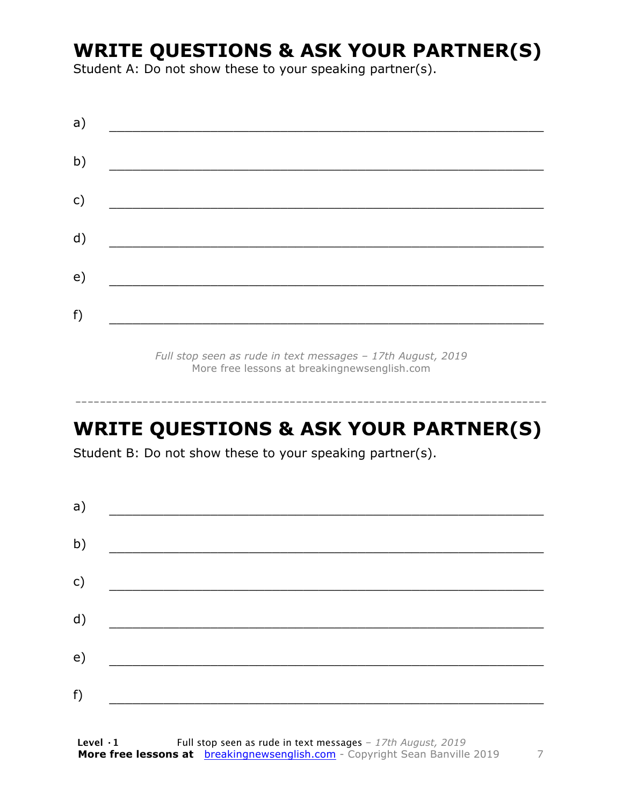#### **WRITE QUESTIONS & ASK YOUR PARTNER(S)**

Student A: Do not show these to your speaking partner(s).

| a) |  |  |
|----|--|--|
| b) |  |  |
| c) |  |  |
| d) |  |  |
| e) |  |  |
| f) |  |  |
|    |  |  |

*Full stop seen as rude in text messages – 17th August, 2019* More free lessons at breakingnewsenglish.com

#### **WRITE QUESTIONS & ASK YOUR PARTNER(S)**

-----------------------------------------------------------------------------

Student B: Do not show these to your speaking partner(s).

| a) |  |  |
|----|--|--|
| b) |  |  |
| c) |  |  |
| d) |  |  |
| e) |  |  |
| f) |  |  |
|    |  |  |